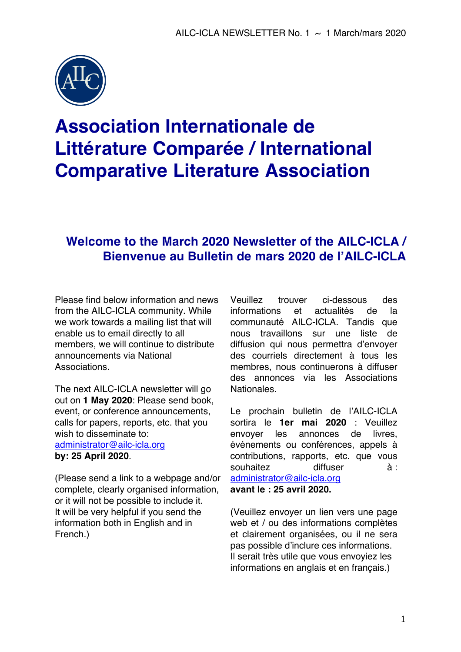

# **Association Internationale de Littérature Comparée / International Comparative Literature Association**

# **Welcome to the March 2020 Newsletter of the AILC-ICLA / Bienvenue au Bulletin de mars 2020 de l'AILC-ICLA**

Please find below information and news from the AILC-ICLA community. While we work towards a mailing list that will enable us to email directly to all members, we will continue to distribute announcements via National Associations.

The next AILC-ICLA newsletter will go out on **1 May 2020**: Please send book, event, or conference announcements, calls for papers, reports, etc. that you wish to disseminate to: administrator@ailc-icla.org **by: 25 April 2020**.

(Please send a link to a webpage and/or complete, clearly organised information, or it will not be possible to include it. It will be very helpful if you send the information both in English and in French.)

Veuillez trouver ci-dessous des informations et actualités de la communauté AILC-ICLA. Tandis que nous travaillons sur une liste de diffusion qui nous permettra d'envoyer des courriels directement à tous les membres, nous continuerons à diffuser des annonces via les Associations Nationales.

Le prochain bulletin de l'AILC-ICLA sortira le **1er mai 2020** : Veuillez envoyer les annonces de livres, événements ou conférences, appels à contributions, rapports, etc. que vous souhaitez diffuser à : administrator@ailc-icla.org **avant le : 25 avril 2020.** 

(Veuillez envoyer un lien vers une page web et / ou des informations complètes et clairement organisées, ou il ne sera pas possible d'inclure ces informations. Il serait très utile que vous envoyiez les informations en anglais et en français.)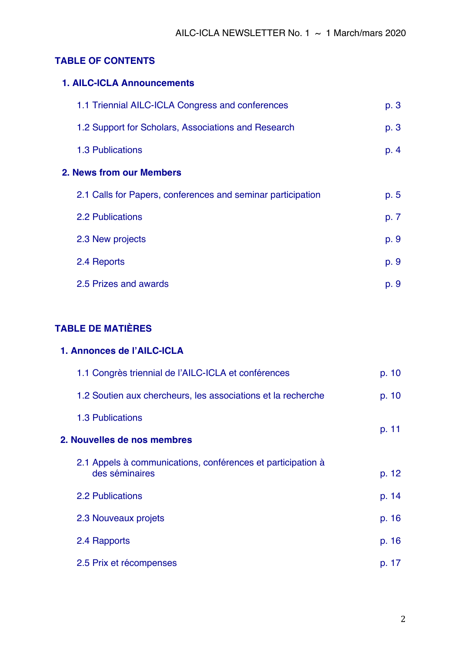## **TABLE OF CONTENTS**

| <b>1. AILC-ICLA Announcements</b>                           |      |
|-------------------------------------------------------------|------|
| 1.1 Triennial AILC-ICLA Congress and conferences            | p. 3 |
| 1.2 Support for Scholars, Associations and Research         | p. 3 |
| <b>1.3 Publications</b>                                     | p. 4 |
| 2. News from our Members                                    |      |
| 2.1 Calls for Papers, conferences and seminar participation | p. 5 |
| <b>2.2 Publications</b>                                     | p. 7 |
| 2.3 New projects                                            | p. 9 |
| 2.4 Reports                                                 | p. 9 |
| 2.5 Prizes and awards                                       | p. 9 |

# **TABLE DE MATIÈRES**

| 1. Annonces de l'AILC-ICLA                                                    |          |
|-------------------------------------------------------------------------------|----------|
| 1.1 Congrès triennial de l'AILC-ICLA et conférences                           | p. 10    |
| 1.2 Soutien aux chercheurs, les associations et la recherche                  | p. 10    |
| <b>1.3 Publications</b>                                                       | p. 11    |
| 2. Nouvelles de nos membres                                                   |          |
| 2.1 Appels à communications, conférences et participation à<br>des séminaires | p. 12    |
| <b>2.2 Publications</b>                                                       | p. 14    |
| 2.3 Nouveaux projets                                                          | p. 16    |
| 2.4 Rapports                                                                  | p.16     |
| 2.5 Prix et récompenses                                                       | 17<br>D. |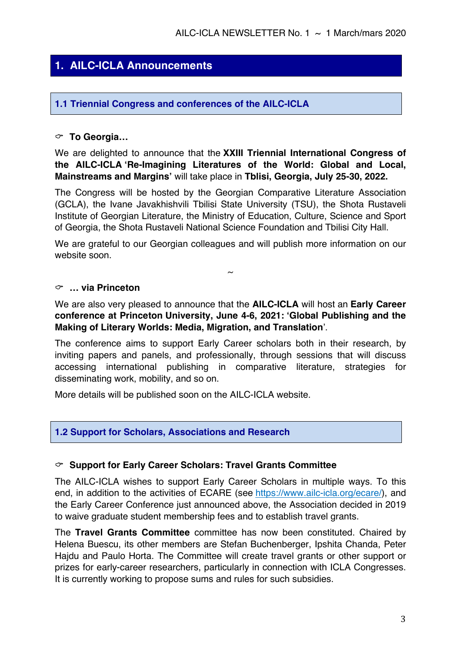# **1. AILC-ICLA Announcements**

#### **1.1 Triennial Congress and conferences of the AILC-ICLA**

#### C **To Georgia…**

We are delighted to announce that the **XXIII Triennial International Congress of the AILC-ICLA 'Re-Imagining Literatures of the World: Global and Local, Mainstreams and Margins'** will take place in **Tblisi, Georgia, July 25-30, 2022.**

The Congress will be hosted by the Georgian Comparative Literature Association (GCLA), the Ivane Javakhishvili Tbilisi State University (TSU), the Shota Rustaveli Institute of Georgian Literature, the Ministry of Education, Culture, Science and Sport of Georgia, the Shota Rustaveli National Science Foundation and Tbilisi City Hall.

We are grateful to our Georgian colleagues and will publish more information on our website soon.

 $\sim$ 

#### C **… via Princeton**

We are also very pleased to announce that the **AILC-ICLA** will host an **Early Career conference at Princeton University, June 4-6, 2021: 'Global Publishing and the Making of Literary Worlds: Media, Migration, and Translation**'.

The conference aims to support Early Career scholars both in their research, by inviting papers and panels, and professionally, through sessions that will discuss accessing international publishing in comparative literature, strategies for disseminating work, mobility, and so on.

More details will be published soon on the AILC-ICLA website.

#### **1.2 Support for Scholars, Associations and Research**

#### C **Support for Early Career Scholars: Travel Grants Committee**

The AILC-ICLA wishes to support Early Career Scholars in multiple ways. To this end, in addition to the activities of ECARE (see https://www.ailc-icla.org/ecare/), and the Early Career Conference just announced above, the Association decided in 2019 to waive graduate student membership fees and to establish travel grants.

The **Travel Grants Committee** committee has now been constituted. Chaired by Helena Buescu, its other members are Stefan Buchenberger, Ipshita Chanda, Peter Hajdu and Paulo Horta. The Committee will create travel grants or other support or prizes for early-career researchers, particularly in connection with ICLA Congresses. It is currently working to propose sums and rules for such subsidies.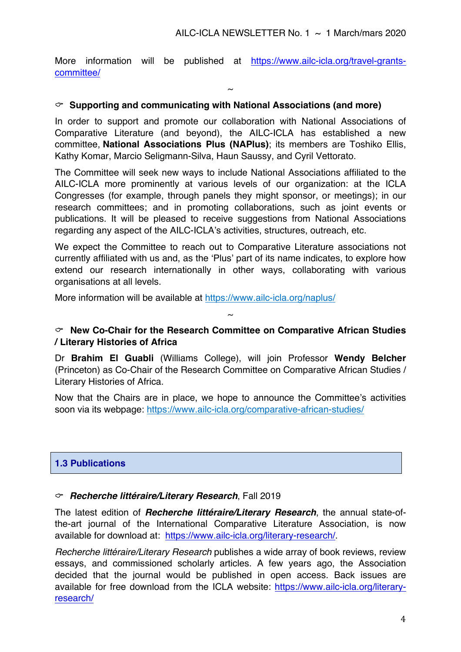More information will be published at https://www.ailc-icla.org/travel-grantscommittee/

 $\sim$ 

#### C **Supporting and communicating with National Associations (and more)**

In order to support and promote our collaboration with National Associations of Comparative Literature (and beyond), the AILC-ICLA has established a new committee, **National Associations Plus (NAPlus)**; its members are Toshiko Ellis, Kathy Komar, Marcio Seligmann-Silva, Haun Saussy, and Cyril Vettorato.

The Committee will seek new ways to include National Associations affiliated to the AILC-ICLA more prominently at various levels of our organization: at the ICLA Congresses (for example, through panels they might sponsor, or meetings); in our research committees; and in promoting collaborations, such as joint events or publications. It will be pleased to receive suggestions from National Associations regarding any aspect of the AILC-ICLA's activities, structures, outreach, etc.

We expect the Committee to reach out to Comparative Literature associations not currently affiliated with us and, as the 'Plus' part of its name indicates, to explore how extend our research internationally in other ways, collaborating with various organisations at all levels.

More information will be available at https://www.ailc-icla.org/naplus/

#### C **New Co-Chair for the Research Committee on Comparative African Studies / Literary Histories of Africa**

 $\sim$ 

Dr **Brahim El Guabli** (Williams College), will join Professor **Wendy Belcher** (Princeton) as Co-Chair of the Research Committee on Comparative African Studies / Literary Histories of Africa.

Now that the Chairs are in place, we hope to announce the Committee's activities soon via its webpage: https://www.ailc-icla.org/comparative-african-studies/

#### **1.3 Publications**

#### C*Recherche littéraire/Literary Research*, Fall 2019

The latest edition of *Recherche littéraire/Literary Research*, the annual state-ofthe-art journal of the International Comparative Literature Association, is now available for download at: https://www.ailc-icla.org/literary-research/.

*Recherche littéraire/Literary Research* publishes a wide array of book reviews, review essays, and commissioned scholarly articles. A few years ago, the Association decided that the journal would be published in open access. Back issues are available for free download from the ICLA website: https://www.ailc-icla.org/literaryresearch/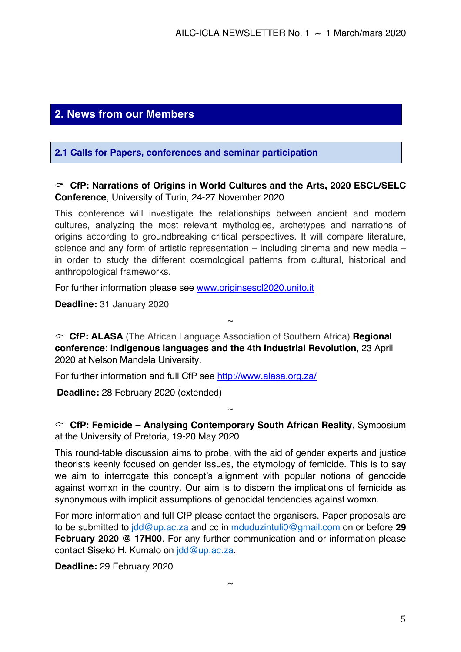# **2. News from our Members**

#### **2.1 Calls for Papers, conferences and seminar participation**

#### C **CfP: Narrations of Origins in World Cultures and the Arts, 2020 ESCL/SELC Conference**, University of Turin, 24-27 November 2020

This conference will investigate the relationships between ancient and modern cultures, analyzing the most relevant mythologies, archetypes and narrations of origins according to groundbreaking critical perspectives. It will compare literature, science and any form of artistic representation – including cinema and new media – in order to study the different cosmological patterns from cultural, historical and anthropological frameworks.

For further information please see www.originsescl2020.unito.it

**Deadline:** 31 January 2020

C **CfP: ALASA** (The African Language Association of Southern Africa) **Regional conference**: **Indigenous languages and the 4th Industrial Revolution**, 23 April 2020 at Nelson Mandela University.

 $\sim$ 

For further information and full CfP see http://www.alasa.org.za/

**Deadline:** 28 February 2020 (extended)

C **CfP: Femicide – Analysing Contemporary South African Reality,** Symposium at the University of Pretoria, 19-20 May 2020

 $\sim$ 

This round-table discussion aims to probe, with the aid of gender experts and justice theorists keenly focused on gender issues, the etymology of femicide. This is to say we aim to interrogate this concept's alignment with popular notions of genocide against womxn in the country. Our aim is to discern the implications of femicide as synonymous with implicit assumptions of genocidal tendencies against womxn.

For more information and full CfP please contact the organisers. Paper proposals are to be submitted to jdd@up.ac.za and cc in mduduzintuli0@gmail.com on or before **29 February 2020 @ 17H00**. For any further communication and or information please contact Siseko H. Kumalo on jdd@up.ac.za.

**Deadline:** 29 February 2020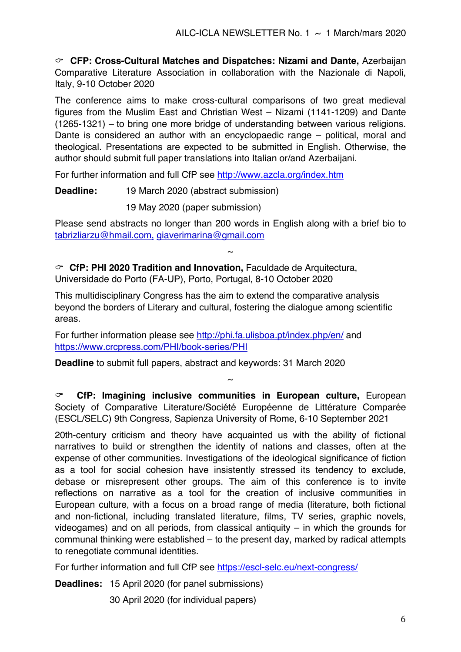C **CFP: Cross-Cultural Matches and Dispatches: Nizami and Dante,** Azerbaijan Comparative Literature Association in collaboration with the Nazionale di Napoli, Italy, 9-10 October 2020

The conference aims to make cross-cultural comparisons of two great medieval figures from the Muslim East and Christian West – Nizami (1141-1209) and Dante (1265-1321) – to bring one more bridge of understanding between various religions. Dante is considered an author with an encyclopaedic range – political, moral and theological. Presentations are expected to be submitted in English. Otherwise, the author should submit full paper translations into Italian or/and Azerbaijani.

For further information and full CfP see http://www.azcla.org/index.htm

**Deadline:** 19 March 2020 (abstract submission)

19 May 2020 (paper submission)

Please send abstracts no longer than 200 words in English along with a brief bio to tabrizliarzu@hmail.com, giaverimarina@gmail.com

 $\sim$ 

C **CfP: PHI 2020 Tradition and Innovation,** Faculdade de Arquitectura, Universidade do Porto (FA-UP), Porto, Portugal, 8-10 October 2020

This multidisciplinary Congress has the aim to extend the comparative analysis beyond the borders of Literary and cultural, fostering the dialogue among scientific areas.

For further information please see http://phi.fa.ulisboa.pt/index.php/en/ and https://www.crcpress.com/PHI/book-series/PHI

**Deadline** to submit full papers, abstract and keywords: 31 March 2020

C **CfP: Imagining inclusive communities in European culture,** European Society of Comparative Literature/Société Européenne de Littérature Comparée (ESCL/SELC) 9th Congress*,* Sapienza University of Rome, 6-10 September 2021

 $\sim$ 

20th-century criticism and theory have acquainted us with the ability of fictional narratives to build or strengthen the identity of nations and classes, often at the expense of other communities. Investigations of the ideological significance of fiction as a tool for social cohesion have insistently stressed its tendency to exclude, debase or misrepresent other groups. The aim of this conference is to invite reflections on narrative as a tool for the creation of inclusive communities in European culture, with a focus on a broad range of media (literature, both fictional and non-fictional, including translated literature, films, TV series, graphic novels, videogames) and on all periods, from classical antiquity – in which the grounds for communal thinking were established – to the present day, marked by radical attempts to renegotiate communal identities.

For further information and full CfP see https://escl-selc.eu/next-congress/

**Deadlines:** 15 April 2020 (for panel submissions)

30 April 2020 (for individual papers)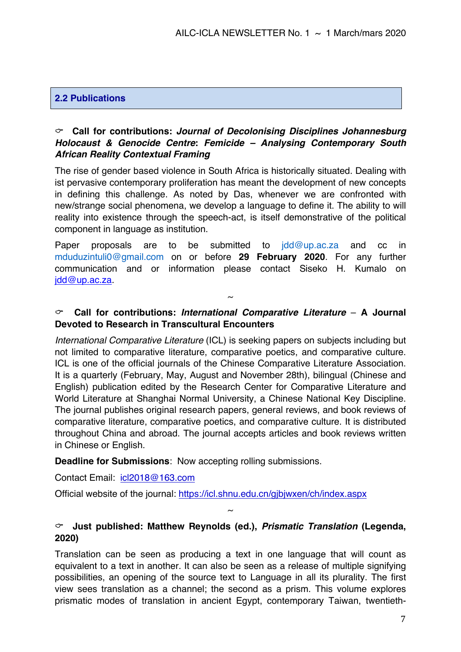#### **2.2 Publications**

#### C **Call for contributions:** *Journal of Decolonising Disciplines Johannesburg Holocaust & Genocide Centre***:** *Femicide – Analysing Contemporary South African Reality Contextual Framing*

The rise of gender based violence in South Africa is historically situated. Dealing with ist pervasive contemporary proliferation has meant the development of new concepts in defining this challenge. As noted by Das, whenever we are confronted with new/strange social phenomena, we develop a language to define it. The ability to will reality into existence through the speech-act, is itself demonstrative of the political component in language as institution.

Paper proposals are to be submitted to jdd@up.ac.za and cc in mduduzintuli0@gmail.com on or before **29 February 2020**. For any further communication and or information please contact Siseko H. Kumalo on jdd@up.ac.za.

#### C **Call for contributions:** *International Comparative Literature* – **A Journal Devoted to Research in Transcultural Encounters**

 $\sim$ 

*International Comparative Literature* (ICL) is seeking papers on subjects including but not limited to comparative literature, comparative poetics, and comparative culture. ICL is one of the official journals of the Chinese Comparative Literature Association. It is a quarterly (February, May, August and November 28th), bilingual (Chinese and English) publication edited by the Research Center for Comparative Literature and World Literature at Shanghai Normal University, a Chinese National Key Discipline. The journal publishes original research papers, general reviews, and book reviews of comparative literature, comparative poetics, and comparative culture. It is distributed throughout China and abroad. The journal accepts articles and book reviews written in Chinese or English.

#### **Deadline for Submissions**: Now accepting rolling submissions.

Contact Email: icl2018@163.com

Official website of the journal: https://icl.shnu.edu.cn/gjbjwxen/ch/index.aspx

#### C **Just published: Matthew Reynolds (ed.),** *Prismatic Translation* **(Legenda, 2020)**

 $\sim$ 

Translation can be seen as producing a text in one language that will count as equivalent to a text in another. It can also be seen as a release of multiple signifying possibilities, an opening of the source text to Language in all its plurality. The first view sees translation as a channel; the second as a prism. This volume explores prismatic modes of translation in ancient Egypt, contemporary Taiwan, twentieth-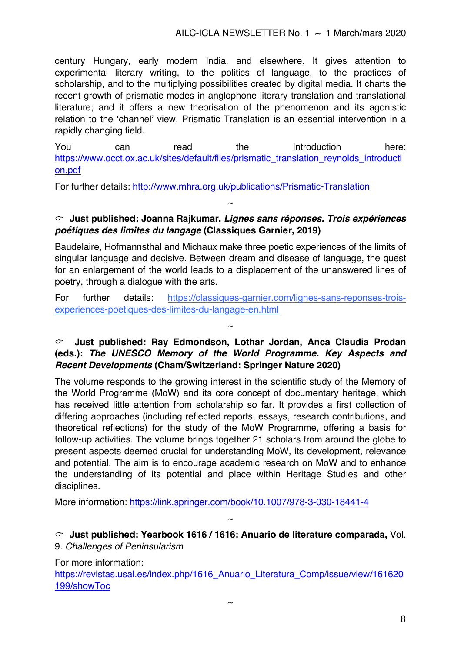#### AILC-ICLA NEWSLETTER No. 1  $\sim$  1 March/mars 2020

century Hungary, early modern India, and elsewhere. It gives attention to experimental literary writing, to the politics of language, to the practices of scholarship, and to the multiplying possibilities created by digital media. It charts the recent growth of prismatic modes in anglophone literary translation and translational literature; and it offers a new theorisation of the phenomenon and its agonistic relation to the 'channel' view. Prismatic Translation is an essential intervention in a rapidly changing field.

You can read the Introduction here: https://www.occt.ox.ac.uk/sites/default/files/prismatic\_translation\_reynolds\_introducti on.pdf

For further details: http://www.mhra.org.uk/publications/Prismatic-Translation

#### C **Just published: Joanna Rajkumar,** *Lignes sans réponses. Trois expériences poétiques des limites du langage* **(Classiques Garnier, 2019)**

 $\sim$ 

Baudelaire, Hofmannsthal and Michaux make three poetic experiences of the limits of singular language and decisive. Between dream and disease of language, the quest for an enlargement of the world leads to a displacement of the unanswered lines of poetry, through a dialogue with the arts.

For further details: https://classiques-garnier.com/lignes-sans-reponses-troisexperiences-poetiques-des-limites-du-langage-en.html

 $\sim$ 

#### C **Just published: Ray Edmondson, Lothar Jordan, Anca Claudia Prodan (eds.):** *The UNESCO Memory of the World Programme. Key Aspects and Recent Developments* **(Cham/Switzerland: Springer Nature 2020)**

The volume responds to the growing interest in the scientific study of the Memory of the World Programme (MoW) and its core concept of documentary heritage, which has received little attention from scholarship so far. It provides a first collection of differing approaches (including reflected reports, essays, research contributions, and theoretical reflections) for the study of the MoW Programme, offering a basis for follow-up activities. The volume brings together 21 scholars from around the globe to present aspects deemed crucial for understanding MoW, its development, relevance and potential. The aim is to encourage academic research on MoW and to enhance the understanding of its potential and place within Heritage Studies and other disciplines.

More information: https://link.springer.com/book/10.1007/978-3-030-18441-4

C **Just published: Yearbook 1616 / 1616: Anuario de literature comparada,** Vol. 9. *Challenges of Peninsularism*

 $\sim$ 

For more information:

https://revistas.usal.es/index.php/1616\_Anuario\_Literatura\_Comp/issue/view/161620 199/showToc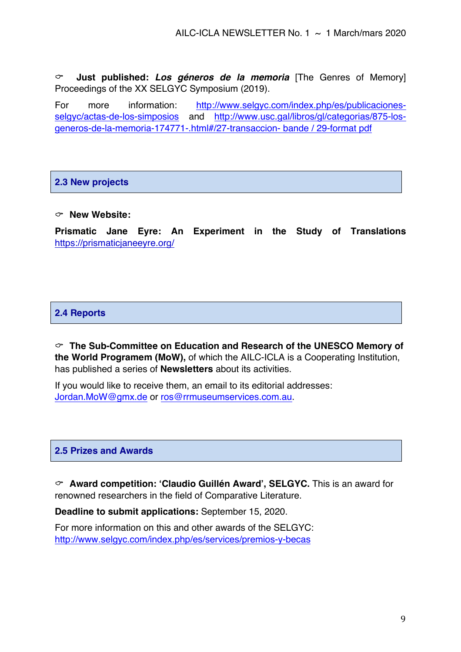C **Just published:** *Los géneros de la memoria* [The Genres of Memory] Proceedings of the XX SELGYC Symposium (2019).

For more information: http://www.selgyc.com/index.php/es/publicacionesselgyc/actas-de-los-simposios and http://www.usc.gal/libros/gl/categorias/875-losgeneros-de-la-memoria-174771-.html#/27-transaccion- bande / 29-format pdf

#### **2.3 New projects**

#### C **New Website:**

**Prismatic Jane Eyre: An Experiment in the Study of Translations**  https://prismaticjaneeyre.org/

#### **2.4 Reports**

C **The Sub-Committee on Education and Research of the UNESCO Memory of the World Programem (MoW),** of which the AILC-ICLA is a Cooperating Institution, has published a series of **Newsletters** about its activities.

If you would like to receive them, an email to its editorial addresses: Jordan.MoW@gmx.de or ros@rrmuseumservices.com.au.

#### **2.5 Prizes and Awards**

C **Award competition: 'Claudio Guillén Award', SELGYC.** This is an award for renowned researchers in the field of Comparative Literature.

**Deadline to submit applications:** September 15, 2020.

For more information on this and other awards of the SELGYC: http://www.selgyc.com/index.php/es/services/premios-y-becas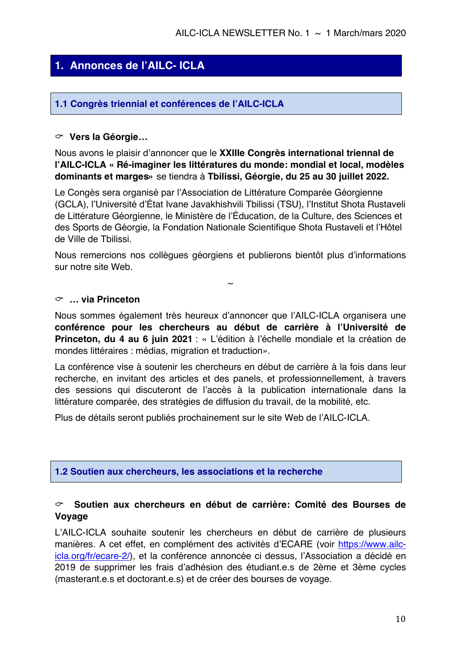# **1. Annonces de l'AILC- ICLA**

#### **1.1 Congrès triennial et conférences de l'AILC-ICLA**

#### C **Vers la Géorgie…**

Nous avons le plaisir d'annoncer que le **XXIIIe Congrès international triennal de l'AILC-ICLA « Ré-imaginer les littératures du monde: mondial et local, modèles dominants et marges»** se tiendra à **Tbilissi, Géorgie, du 25 au 30 juillet 2022.**

Le Congès sera organisé par l'Association de Littérature Comparée Géorgienne (GCLA), l'Université d'État Ivane Javakhishvili Tbilissi (TSU), l'Institut Shota Rustaveli de Littérature Géorgienne, le Ministère de l'Éducation, de la Culture, des Sciences et des Sports de Géorgie, la Fondation Nationale Scientifique Shota Rustaveli et l'Hôtel de Ville de Tbilissi.

Nous remercions nos collègues géorgiens et publierons bientôt plus d'informations sur notre site Web.

 $\sim$ 

#### C **… via Princeton**

Nous sommes également très heureux d'annoncer que l'AILC-ICLA organisera une **conférence pour les chercheurs au début de carrière à l'Université de Princeton, du 4 au 6 juin 2021** : « L'édition à l'échelle mondiale et la création de mondes littéraires : médias, migration et traduction».

La conférence vise à soutenir les chercheurs en début de carrière à la fois dans leur recherche, en invitant des articles et des panels, et professionnellement, à travers des sessions qui discuteront de l'accès à la publication internationale dans la littérature comparée, des stratégies de diffusion du travail, de la mobilité, etc.

Plus de détails seront publiés prochainement sur le site Web de l'AILC-ICLA.

#### **1.2 Soutien aux chercheurs, les associations et la recherche**

#### C **Soutien aux chercheurs en début de carrière: Comité des Bourses de Voyage**

L'AILC-ICLA souhaite soutenir les chercheurs en début de carrière de plusieurs manières. A cet effet, en complément des activités d'ECARE (voir https://www.ailcicla.org/fr/ecare-2/), et la conférence annoncée ci dessus, l'Association a décidé en 2019 de supprimer les frais d'adhésion des étudiant.e.s de 2ème et 3ème cycles (masterant.e.s et doctorant.e.s) et de créer des bourses de voyage.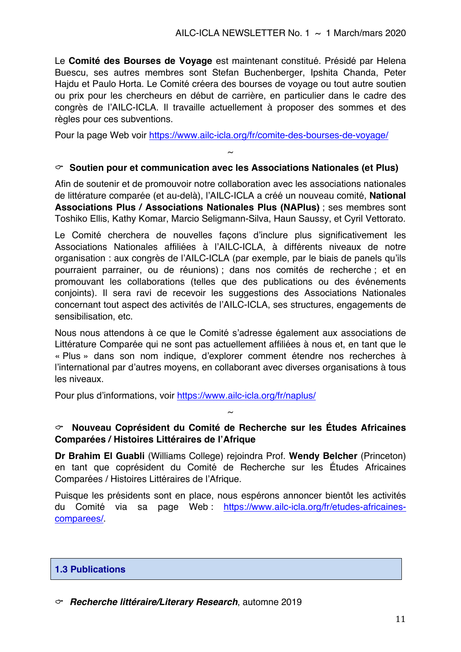Le **Comité des Bourses de Voyage** est maintenant constitué. Présidé par Helena Buescu, ses autres membres sont Stefan Buchenberger, Ipshita Chanda, Peter Hajdu et Paulo Horta. Le Comité créera des bourses de voyage ou tout autre soutien ou prix pour les chercheurs en début de carrière, en particulier dans le cadre des congrès de l'AILC-ICLA. Il travaille actuellement à proposer des sommes et des règles pour ces subventions.

Pour la page Web voir https://www.ailc-icla.org/fr/comite-des-bourses-de-voyage/

#### C **Soutien pour et communication avec les Associations Nationales (et Plus)**

 $\sim$ 

Afin de soutenir et de promouvoir notre collaboration avec les associations nationales de littérature comparée (et au-delà), l'AILC-ICLA a créé un nouveau comité, **National Associations Plus / Associations Nationales Plus (NAPlus)** ; ses membres sont Toshiko Ellis, Kathy Komar, Marcio Seligmann-Silva, Haun Saussy, et Cyril Vettorato.

Le Comité cherchera de nouvelles façons d'inclure plus significativement les Associations Nationales affiliées à l'AILC-ICLA, à différents niveaux de notre organisation : aux congrès de l'AILC-ICLA (par exemple, par le biais de panels qu'ils pourraient parrainer, ou de réunions) ; dans nos comités de recherche ; et en promouvant les collaborations (telles que des publications ou des événements conjoints). Il sera ravi de recevoir les suggestions des Associations Nationales concernant tout aspect des activités de l'AILC-ICLA, ses structures, engagements de sensibilisation, etc.

Nous nous attendons à ce que le Comité s'adresse également aux associations de Littérature Comparée qui ne sont pas actuellement affiliées à nous et, en tant que le « Plus » dans son nom indique, d'explorer comment étendre nos recherches à l'international par d'autres moyens, en collaborant avec diverses organisations à tous les niveaux.

Pour plus d'informations, voir https://www.ailc-icla.org/fr/naplus/

#### C **Nouveau Coprésident du Comité de Recherche sur les Études Africaines Comparées / Histoires Littéraires de l'Afrique**

 $\sim$ 

**Dr Brahim El Guabli** (Williams College) rejoindra Prof. **Wendy Belcher** (Princeton) en tant que coprésident du Comité de Recherche sur les Études Africaines Comparées / Histoires Littéraires de l'Afrique.

Puisque les présidents sont en place, nous espérons annoncer bientôt les activités du Comité via sa page Web : https://www.ailc-icla.org/fr/etudes-africainescomparees/.

#### **1.3 Publications**

C*Recherche littéraire/Literary Research*, automne 2019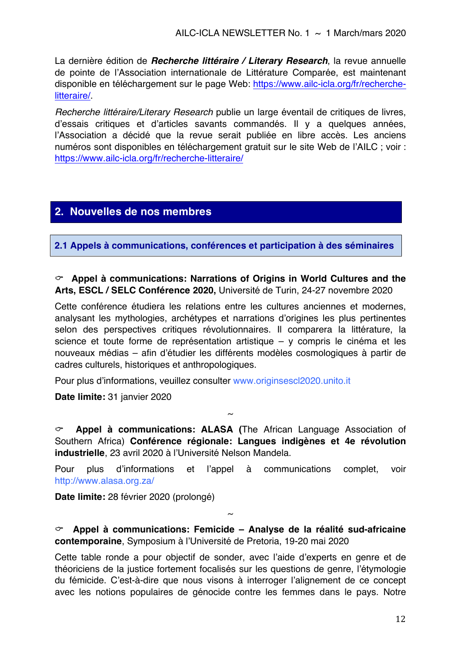La dernière édition de *Recherche littéraire / Literary Research*, la revue annuelle de pointe de l'Association internationale de Littérature Comparée, est maintenant disponible en téléchargement sur le page Web: https://www.ailc-icla.org/fr/recherchelitteraire/.

*Recherche littéraire/Literary Research* publie un large éventail de critiques de livres, d'essais critiques et d'articles savants commandés. Il y a quelques années, l'Association a décidé que la revue serait publiée en libre accès. Les anciens numéros sont disponibles en téléchargement gratuit sur le site Web de l'AILC ; voir : https://www.ailc-icla.org/fr/recherche-litteraire/

## **2. Nouvelles de nos membres**

**2.1 Appels à communications, conférences et participation à des séminaires**

#### C **Appel à communications: Narrations of Origins in World Cultures and the Arts, ESCL / SELC Conférence 2020,** Université de Turin, 24-27 novembre 2020

Cette conférence étudiera les relations entre les cultures anciennes et modernes, analysant les mythologies, archétypes et narrations d'origines les plus pertinentes selon des perspectives critiques révolutionnaires. Il comparera la littérature, la science et toute forme de représentation artistique – y compris le cinéma et les nouveaux médias – afin d'étudier les différents modèles cosmologiques à partir de cadres culturels, historiques et anthropologiques.

Pour plus d'informations, veuillez consulter www.originsescl2020.unito.it

**Date limite:** 31 janvier 2020

C **Appel à communications: ALASA (**The African Language Association of Southern Africa) **Conférence régionale: Langues indigènes et 4e révolution industrielle**, 23 avril 2020 à l'Université Nelson Mandela.

 $\sim$ 

Pour plus d'informations et l'appel à communications complet, voir http://www.alasa.org.za/

**Date limite:** 28 février 2020 (prolongé)

#### C **Appel à communications: Femicide – Analyse de la réalité sud-africaine contemporaine**, Symposium à l'Université de Pretoria, 19-20 mai 2020

 $\sim$ 

Cette table ronde a pour objectif de sonder, avec l'aide d'experts en genre et de théoriciens de la justice fortement focalisés sur les questions de genre, l'étymologie du fémicide. C'est-à-dire que nous visons à interroger l'alignement de ce concept avec les notions populaires de génocide contre les femmes dans le pays. Notre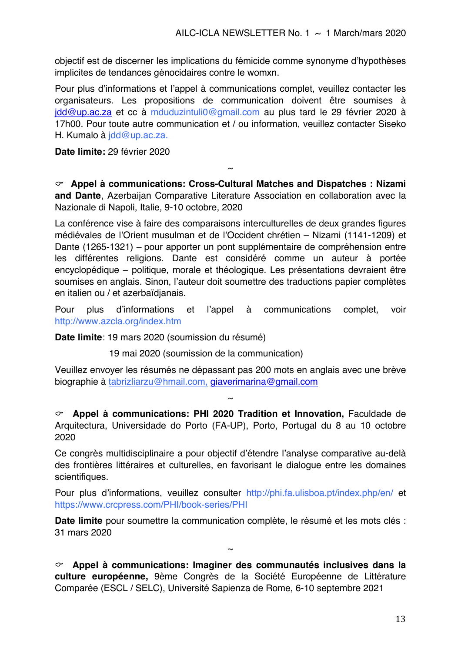objectif est de discerner les implications du fémicide comme synonyme d'hypothèses implicites de tendances génocidaires contre le womxn.

Pour plus d'informations et l'appel à communications complet, veuillez contacter les organisateurs. Les propositions de communication doivent être soumises à jdd@up.ac.za et cc à mduduzintuli0@gmail.com au plus tard le 29 février 2020 à 17h00. Pour toute autre communication et / ou information, veuillez contacter Siseko H. Kumalo à *idd@up.ac.za.* 

**Date limite:** 29 février 2020

C **Appel à communications: Cross-Cultural Matches and Dispatches : Nizami and Dante**, Azerbaijan Comparative Literature Association en collaboration avec la Nazionale di Napoli, Italie, 9-10 octobre, 2020

~

La conférence vise à faire des comparaisons interculturelles de deux grandes figures médiévales de l'Orient musulman et de l'Occident chrétien – Nizami (1141-1209) et Dante (1265-1321) – pour apporter un pont supplémentaire de compréhension entre les différentes religions. Dante est considéré comme un auteur à portée encyclopédique – politique, morale et théologique. Les présentations devraient être soumises en anglais. Sinon, l'auteur doit soumettre des traductions papier complètes en italien ou / et azerbaïdjanais.

Pour plus d'informations et l'appel à communications complet, voir http://www.azcla.org/index.htm

**Date limite**: 19 mars 2020 (soumission du résumé)

19 mai 2020 (soumission de la communication)

Veuillez envoyer les résumés ne dépassant pas 200 mots en anglais avec une brève biographie à tabrizliarzu@hmail.com, giaverimarina@gmail.com

 $\sim$ 

C **Appel à communications: PHI 2020 Tradition et Innovation,** Faculdade de Arquitectura, Universidade do Porto (FA-UP), Porto, Portugal du 8 au 10 octobre 2020

Ce congrès multidisciplinaire a pour objectif d'étendre l'analyse comparative au-delà des frontières littéraires et culturelles, en favorisant le dialogue entre les domaines scientifiques.

Pour plus d'informations, veuillez consulter http://phi.fa.ulisboa.pt/index.php/en/ et https://www.crcpress.com/PHI/book-series/PHI

**Date limite** pour soumettre la communication complète, le résumé et les mots clés : 31 mars 2020

 $\sim$ 

C **Appel à communications: Imaginer des communautés inclusives dans la culture européenne,** 9ème Congrès de la Société Européenne de Littérature Comparée (ESCL / SELC), Université Sapienza de Rome, 6-10 septembre 2021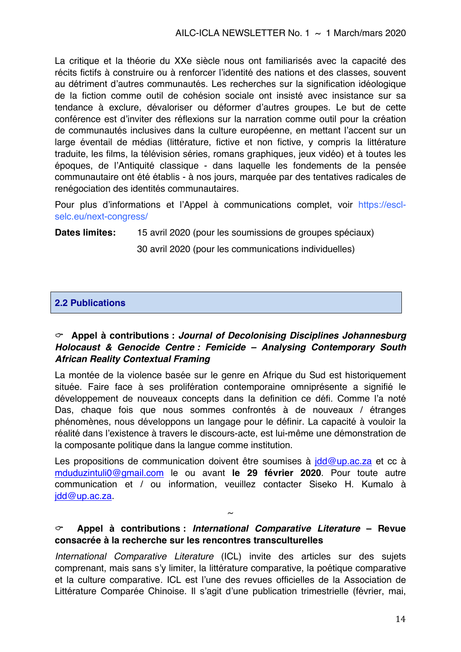La critique et la théorie du XXe siècle nous ont familiarisés avec la capacité des récits fictifs à construire ou à renforcer l'identité des nations et des classes, souvent au détriment d'autres communautés. Les recherches sur la signification idéologique de la fiction comme outil de cohésion sociale ont insisté avec insistance sur sa tendance à exclure, dévaloriser ou déformer d'autres groupes. Le but de cette conférence est d'inviter des réflexions sur la narration comme outil pour la création de communautés inclusives dans la culture européenne, en mettant l'accent sur un large éventail de médias (littérature, fictive et non fictive, y compris la littérature traduite, les films, la télévision séries, romans graphiques, jeux vidéo) et à toutes les époques, de l'Antiquité classique - dans laquelle les fondements de la pensée communautaire ont été établis - à nos jours, marquée par des tentatives radicales de renégociation des identités communautaires.

Pour plus d'informations et l'Appel à communications complet, voir https://esclselc.eu/next-congress/

**Dates limites:** 15 avril 2020 (pour les soumissions de groupes spéciaux)

30 avril 2020 (pour les communications individuelles)

### **2.2 Publications**

#### C **Appel à contributions :** *Journal of Decolonising Disciplines Johannesburg Holocaust & Genocide Centre : Femicide – Analysing Contemporary South African Reality Contextual Framing*

La montée de la violence basée sur le genre en Afrique du Sud est historiquement située. Faire face à ses prolifération contemporaine omniprésente a signifié le développement de nouveaux concepts dans la definition ce défi. Comme l'a noté Das, chaque fois que nous sommes confrontés à de nouveaux / étranges phénomènes, nous développons un langage pour le définir. La capacité à vouloir la réalité dans l'existence à travers le discours-acte, est lui-même une démonstration de la composante politique dans la langue comme institution.

Les propositions de communication doivent être soumises à jdd@up.ac.za et cc à mduduzintuli0@gmail.com le ou avant **le 29 février 2020**. Pour toute autre communication et / ou information, veuillez contacter Siseko H. Kumalo à jdd@up.ac.za.

#### C **Appel à contributions :** *International Comparative Literature* **– Revue consacrée à la recherche sur les rencontres transculturelles**

 $\sim$ 

*International Comparative Literature* (ICL) invite des articles sur des sujets comprenant, mais sans s'y limiter, la littérature comparative, la poétique comparative et la culture comparative. ICL est l'une des revues officielles de la Association de Littérature Comparée Chinoise. Il s'agit d'une publication trimestrielle (février, mai,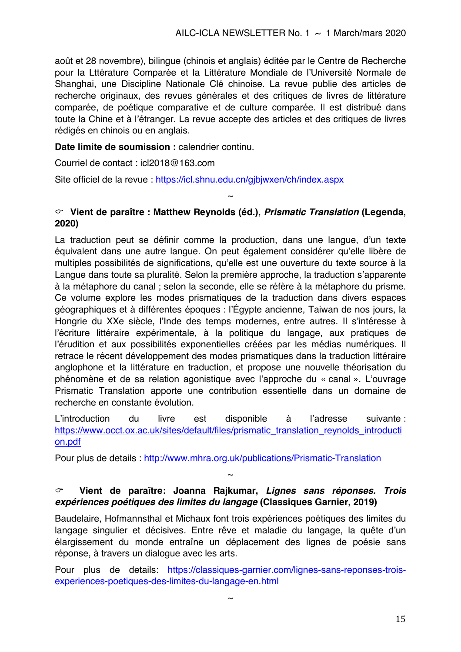août et 28 novembre), bilingue (chinois et anglais) éditée par le Centre de Recherche pour la Lttérature Comparée et la Littérature Mondiale de l'Université Normale de Shanghai, une Discipline Nationale Clé chinoise. La revue publie des articles de recherche originaux, des revues générales et des critiques de livres de littérature comparée, de poétique comparative et de culture comparée. Il est distribué dans toute la Chine et à l'étranger. La revue accepte des articles et des critiques de livres rédigés en chinois ou en anglais.

**Date limite de soumission :** calendrier continu.

Courriel de contact : icl2018@163.com

Site officiel de la revue : https://icl.shnu.edu.cn/gjbjwxen/ch/index.aspx

#### C **Vient de paraître : Matthew Reynolds (éd.),** *Prismatic Translation* **(Legenda, 2020)**

 $\sim$ 

La traduction peut se définir comme la production, dans une langue, d'un texte équivalent dans une autre langue. On peut également considérer qu'elle libère de multiples possibilités de significations, qu'elle est une ouverture du texte source à la Langue dans toute sa pluralité. Selon la première approche, la traduction s'apparente à la métaphore du canal ; selon la seconde, elle se réfère à la métaphore du prisme. Ce volume explore les modes prismatiques de la traduction dans divers espaces géographiques et à différentes époques : l'Égypte ancienne, Taiwan de nos jours, la Hongrie du XXe siècle, l'Inde des temps modernes, entre autres. Il s'intéresse à l'écriture littéraire expérimentale, à la politique du langage, aux pratiques de l'érudition et aux possibilités exponentielles créées par les médias numériques. Il retrace le récent développement des modes prismatiques dans la traduction littéraire anglophone et la littérature en traduction, et propose une nouvelle théorisation du phénomène et de sa relation agonistique avec l'approche du « canal ». L'ouvrage Prismatic Translation apporte une contribution essentielle dans un domaine de recherche en constante évolution.

L'introduction du livre est disponible à l'adresse suivante : https://www.occt.ox.ac.uk/sites/default/files/prismatic\_translation\_reynolds\_introducti on.pdf

Pour plus de details : http://www.mhra.org.uk/publications/Prismatic-Translation

#### C **Vient de paraître: Joanna Rajkumar,** *Lignes sans réponses. Trois expériences poétiques des limites du langage* **(Classiques Garnier, 2019)**

 $\sim$ 

Baudelaire, Hofmannsthal et Michaux font trois expériences poétiques des limites du langage singulier et décisives. Entre rêve et maladie du langage, la quête d'un élargissement du monde entraîne un déplacement des lignes de poésie sans réponse, à travers un dialogue avec les arts.

Pour plus de details: https://classiques-garnier.com/lignes-sans-reponses-troisexperiences-poetiques-des-limites-du-langage-en.html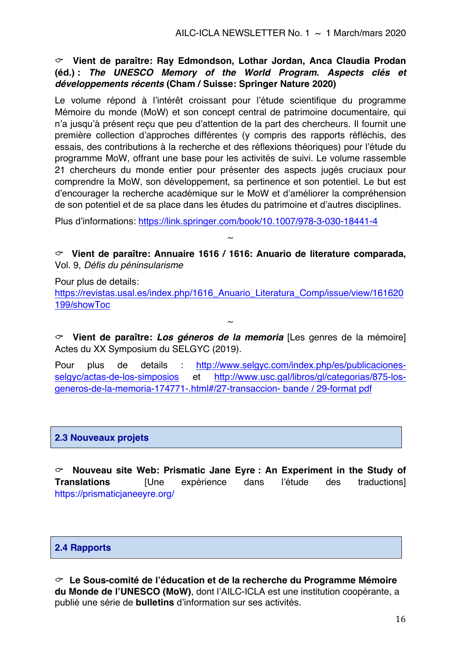C **Vient de paraître: Ray Edmondson, Lothar Jordan, Anca Claudia Prodan (éd.) :** *The UNESCO Memory of the World Program. Aspects clés et développements récents* **(Cham / Suisse: Springer Nature 2020)**

Le volume répond à l'intérêt croissant pour l'étude scientifique du programme Mémoire du monde (MoW) et son concept central de patrimoine documentaire, qui n'a jusqu'à présent reçu que peu d'attention de la part des chercheurs. Il fournit une première collection d'approches différentes (y compris des rapports réfléchis, des essais, des contributions à la recherche et des réflexions théoriques) pour l'étude du programme MoW, offrant une base pour les activités de suivi. Le volume rassemble 21 chercheurs du monde entier pour présenter des aspects jugés cruciaux pour comprendre la MoW, son développement, sa pertinence et son potentiel. Le but est d'encourager la recherche académique sur le MoW et d'améliorer la compréhension de son potentiel et de sa place dans les études du patrimoine et d'autres disciplines.

Plus d'informations: https://link.springer.com/book/10.1007/978-3-030-18441-4

C **Vient de paraître: Annuaire 1616 / 1616: Anuario de literature comparada,**  Vol. 9, *Défis du péninsularisme*

 $\sim$ 

Pour plus de details:

https://revistas.usal.es/index.php/1616 Anuario Literatura Comp/issue/view/161620 199/showToc

 $\sim$ 

C **Vient de paraître:** *Los géneros de la memoria* [Les genres de la mémoire] Actes du XX Symposium du SELGYC (2019).

Pour plus de details : http://www.selgyc.com/index.php/es/publicacionesselgyc/actas-de-los-simposios et http://www.usc.gal/libros/gl/categorias/875-losgeneros-de-la-memoria-174771-.html#/27-transaccion- bande / 29-format pdf

#### **2.3 Nouveaux projets**

C **Nouveau site Web: Prismatic Jane Eyre : An Experiment in the Study of Translations** [Une expérience dans l'étude des traductions] https://prismaticjaneeyre.org/

#### **2.4 Rapports**

C **Le Sous-comité de l'éducation et de la recherche du Programme Mémoire du Monde de l'UNESCO (MoW)**, dont l'AILC-ICLA est une institution coopérante, a publié une série de **bulletins** d'information sur ses activités.